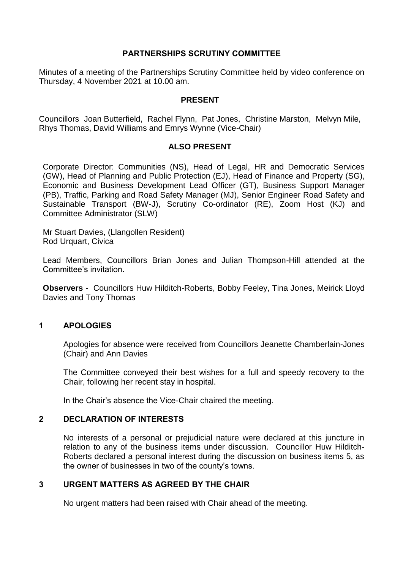# **PARTNERSHIPS SCRUTINY COMMITTEE**

Minutes of a meeting of the Partnerships Scrutiny Committee held by video conference on Thursday, 4 November 2021 at 10.00 am.

#### **PRESENT**

Councillors Joan Butterfield, Rachel Flynn, Pat Jones, Christine Marston, Melvyn Mile, Rhys Thomas, David Williams and Emrys Wynne (Vice-Chair)

### **ALSO PRESENT**

Corporate Director: Communities (NS), Head of Legal, HR and Democratic Services (GW), Head of Planning and Public Protection (EJ), Head of Finance and Property (SG), Economic and Business Development Lead Officer (GT), Business Support Manager (PB), Traffic, Parking and Road Safety Manager (MJ), Senior Engineer Road Safety and Sustainable Transport (BW-J), Scrutiny Co-ordinator (RE), Zoom Host (KJ) and Committee Administrator (SLW)

Mr Stuart Davies, (Llangollen Resident) Rod Urquart, Civica

Lead Members, Councillors Brian Jones and Julian Thompson-Hill attended at the Committee's invitation.

**Observers -** Councillors Huw Hilditch-Roberts, Bobby Feeley, Tina Jones, Meirick Lloyd Davies and Tony Thomas

### **1 APOLOGIES**

Apologies for absence were received from Councillors Jeanette Chamberlain-Jones (Chair) and Ann Davies

The Committee conveyed their best wishes for a full and speedy recovery to the Chair, following her recent stay in hospital.

In the Chair's absence the Vice-Chair chaired the meeting.

# **2 DECLARATION OF INTERESTS**

No interests of a personal or prejudicial nature were declared at this juncture in relation to any of the business items under discussion. Councillor Huw Hilditch-Roberts declared a personal interest during the discussion on business items 5, as the owner of businesses in two of the county's towns.

# **3 URGENT MATTERS AS AGREED BY THE CHAIR**

No urgent matters had been raised with Chair ahead of the meeting.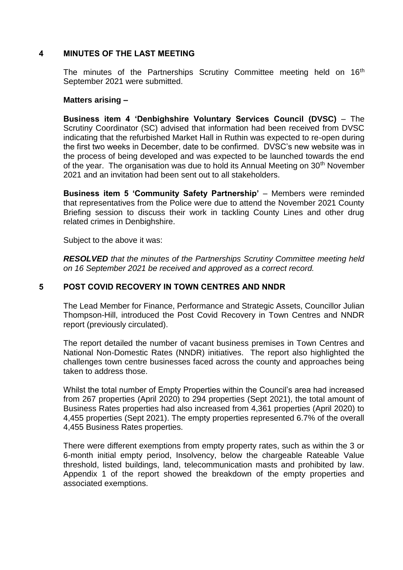### **4 MINUTES OF THE LAST MEETING**

The minutes of the Partnerships Scrutiny Committee meeting held on 16<sup>th</sup> September 2021 were submitted.

### **Matters arising –**

**Business item 4 'Denbighshire Voluntary Services Council (DVSC)** – The Scrutiny Coordinator (SC) advised that information had been received from DVSC indicating that the refurbished Market Hall in Ruthin was expected to re-open during the first two weeks in December, date to be confirmed. DVSC's new website was in the process of being developed and was expected to be launched towards the end of the year. The organisation was due to hold its Annual Meeting on 30<sup>th</sup> November 2021 and an invitation had been sent out to all stakeholders.

**Business item 5 'Community Safety Partnership'** – Members were reminded that representatives from the Police were due to attend the November 2021 County Briefing session to discuss their work in tackling County Lines and other drug related crimes in Denbighshire.

Subject to the above it was:

*RESOLVED that the minutes of the Partnerships Scrutiny Committee meeting held on 16 September 2021 be received and approved as a correct record.*

# **5 POST COVID RECOVERY IN TOWN CENTRES AND NNDR**

The Lead Member for Finance, Performance and Strategic Assets, Councillor Julian Thompson-Hill, introduced the Post Covid Recovery in Town Centres and NNDR report (previously circulated).

The report detailed the number of vacant business premises in Town Centres and National Non-Domestic Rates (NNDR) initiatives. The report also highlighted the challenges town centre businesses faced across the county and approaches being taken to address those.

Whilst the total number of Empty Properties within the Council's area had increased from 267 properties (April 2020) to 294 properties (Sept 2021), the total amount of Business Rates properties had also increased from 4,361 properties (April 2020) to 4,455 properties (Sept 2021). The empty properties represented 6.7% of the overall 4,455 Business Rates properties.

There were different exemptions from empty property rates, such as within the 3 or 6-month initial empty period, Insolvency, below the chargeable Rateable Value threshold, listed buildings, land, telecommunication masts and prohibited by law. Appendix 1 of the report showed the breakdown of the empty properties and associated exemptions.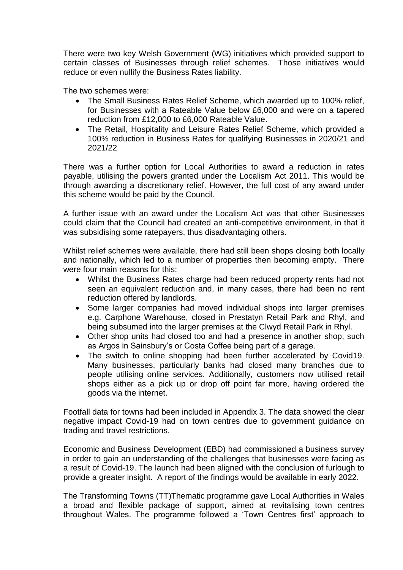There were two key Welsh Government (WG) initiatives which provided support to certain classes of Businesses through relief schemes. Those initiatives would reduce or even nullify the Business Rates liability.

The two schemes were:

- The Small Business Rates Relief Scheme, which awarded up to 100% relief, for Businesses with a Rateable Value below £6,000 and were on a tapered reduction from £12,000 to £6,000 Rateable Value.
- The Retail, Hospitality and Leisure Rates Relief Scheme, which provided a 100% reduction in Business Rates for qualifying Businesses in 2020/21 and 2021/22

There was a further option for Local Authorities to award a reduction in rates payable, utilising the powers granted under the Localism Act 2011. This would be through awarding a discretionary relief. However, the full cost of any award under this scheme would be paid by the Council.

A further issue with an award under the Localism Act was that other Businesses could claim that the Council had created an anti-competitive environment, in that it was subsidising some ratepayers, thus disadvantaging others.

Whilst relief schemes were available, there had still been shops closing both locally and nationally, which led to a number of properties then becoming empty. There were four main reasons for this:

- Whilst the Business Rates charge had been reduced property rents had not seen an equivalent reduction and, in many cases, there had been no rent reduction offered by landlords.
- Some larger companies had moved individual shops into larger premises e.g. Carphone Warehouse, closed in Prestatyn Retail Park and Rhyl, and being subsumed into the larger premises at the Clwyd Retail Park in Rhyl.
- Other shop units had closed too and had a presence in another shop, such as Argos in Sainsbury's or Costa Coffee being part of a garage.
- The switch to online shopping had been further accelerated by Covid19. Many businesses, particularly banks had closed many branches due to people utilising online services. Additionally, customers now utilised retail shops either as a pick up or drop off point far more, having ordered the goods via the internet.

Footfall data for towns had been included in Appendix 3. The data showed the clear negative impact Covid-19 had on town centres due to government guidance on trading and travel restrictions.

Economic and Business Development (EBD) had commissioned a business survey in order to gain an understanding of the challenges that businesses were facing as a result of Covid-19. The launch had been aligned with the conclusion of furlough to provide a greater insight. A report of the findings would be available in early 2022.

The Transforming Towns (TT)Thematic programme gave Local Authorities in Wales a broad and flexible package of support, aimed at revitalising town centres throughout Wales. The programme followed a 'Town Centres first' approach to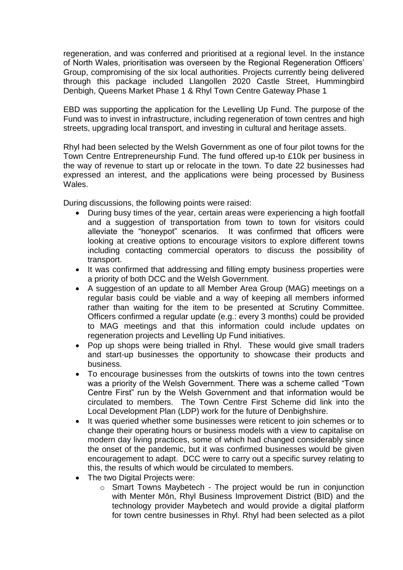regeneration, and was conferred and prioritised at a regional level. In the instance of North Wales, prioritisation was overseen by the Regional Regeneration Officers' Group, compromising of the six local authorities. Projects currently being delivered through this package included Llangollen 2020 Castle Street, Hummingbird Denbigh, Queens Market Phase 1 & Rhyl Town Centre Gateway Phase 1

EBD was supporting the application for the Levelling Up Fund. The purpose of the Fund was to invest in infrastructure, including regeneration of town centres and high streets, upgrading local transport, and investing in cultural and heritage assets.

Rhyl had been selected by the Welsh Government as one of four pilot towns for the Town Centre Entrepreneurship Fund. The fund offered up-to £10k per business in the way of revenue to start up or relocate in the town. To date 22 businesses had expressed an interest, and the applications were being processed by Business Wales.

During discussions, the following points were raised:

- During busy times of the year, certain areas were experiencing a high footfall and a suggestion of transportation from town to town for visitors could alleviate the "honeypot" scenarios. It was confirmed that officers were looking at creative options to encourage visitors to explore different towns including contacting commercial operators to discuss the possibility of transport.
- It was confirmed that addressing and filling empty business properties were a priority of both DCC and the Welsh Government.
- A suggestion of an update to all Member Area Group (MAG) meetings on a regular basis could be viable and a way of keeping all members informed rather than waiting for the item to be presented at Scrutiny Committee. Officers confirmed a regular update (e.g.: every 3 months) could be provided to MAG meetings and that this information could include updates on regeneration projects and Levelling Up Fund initiatives.
- Pop up shops were being trialled in Rhyl. These would give small traders and start-up businesses the opportunity to showcase their products and business.
- To encourage businesses from the outskirts of towns into the town centres was a priority of the Welsh Government. There was a scheme called "Town Centre First" run by the Welsh Government and that information would be circulated to members. The Town Centre First Scheme did link into the Local Development Plan (LDP) work for the future of Denbighshire.
- It was queried whether some businesses were reticent to join schemes or to change their operating hours or business models with a view to capitalise on modern day living practices, some of which had changed considerably since the onset of the pandemic, but it was confirmed businesses would be given encouragement to adapt. DCC were to carry out a specific survey relating to this, the results of which would be circulated to members.
- The two Digital Projects were:
	- o Smart Towns Maybetech The project would be run in conjunction with Menter Môn, Rhyl Business Improvement District (BID) and the technology provider Maybetech and would provide a digital platform for town centre businesses in Rhyl. Rhyl had been selected as a pilot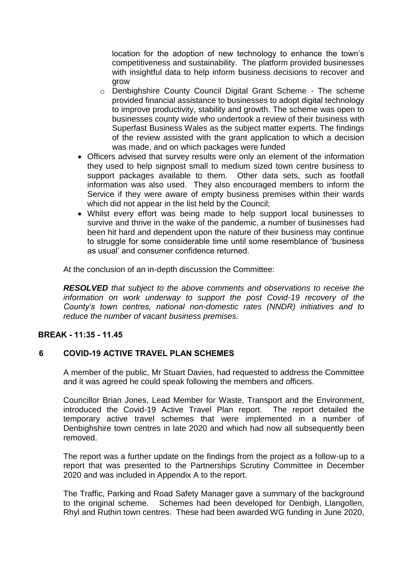location for the adoption of new technology to enhance the town's competitiveness and sustainability. The platform provided businesses with insightful data to help inform business decisions to recover and grow

- o Denbighshire County Council Digital Grant Scheme The scheme provided financial assistance to businesses to adopt digital technology to improve productivity, stability and growth. The scheme was open to businesses county wide who undertook a review of their business with Superfast Business Wales as the subject matter experts. The findings of the review assisted with the grant application to which a decision was made, and on which packages were funded
- Officers advised that survey results were only an element of the information they used to help signpost small to medium sized town centre business to support packages available to them. Other data sets, such as footfall information was also used. They also encouraged members to inform the Service if they were aware of empty business premises within their wards which did not appear in the list held by the Council;
- Whilst every effort was being made to help support local businesses to survive and thrive in the wake of the pandemic, a number of businesses had been hit hard and dependent upon the nature of their business may continue to struggle for some considerable time until some resemblance of 'business as usual' and consumer confidence returned.

At the conclusion of an in-depth discussion the Committee:

*RESOLVED that subject to the above comments and observations to receive the information on work underway to support the post Covid-19 recovery of the County's town centres, national non-domestic rates (NNDR) initiatives and to reduce the number of vacant business premises.*

### **BREAK - 11:35 - 11.45**

### **6 COVID-19 ACTIVE TRAVEL PLAN SCHEMES**

A member of the public, Mr Stuart Davies, had requested to address the Committee and it was agreed he could speak following the members and officers.

Councillor Brian Jones, Lead Member for Waste, Transport and the Environment, introduced the Covid-19 Active Travel Plan report. The report detailed the temporary active travel schemes that were implemented in a number of Denbighshire town centres in late 2020 and which had now all subsequently been removed.

The report was a further update on the findings from the project as a follow-up to a report that was presented to the Partnerships Scrutiny Committee in December 2020 and was included in Appendix A to the report.

The Traffic, Parking and Road Safety Manager gave a summary of the background to the original scheme. Schemes had been developed for Denbigh, Llangollen, Rhyl and Ruthin town centres. These had been awarded WG funding in June 2020,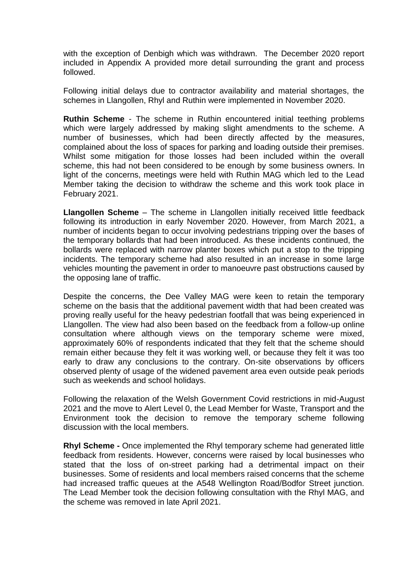with the exception of Denbigh which was withdrawn. The December 2020 report included in Appendix A provided more detail surrounding the grant and process followed.

Following initial delays due to contractor availability and material shortages, the schemes in Llangollen, Rhyl and Ruthin were implemented in November 2020.

**Ruthin Scheme** - The scheme in Ruthin encountered initial teething problems which were largely addressed by making slight amendments to the scheme. A number of businesses, which had been directly affected by the measures, complained about the loss of spaces for parking and loading outside their premises. Whilst some mitigation for those losses had been included within the overall scheme, this had not been considered to be enough by some business owners. In light of the concerns, meetings were held with Ruthin MAG which led to the Lead Member taking the decision to withdraw the scheme and this work took place in February 2021.

**Llangollen Scheme** – The scheme in Llangollen initially received little feedback following its introduction in early November 2020. However, from March 2021, a number of incidents began to occur involving pedestrians tripping over the bases of the temporary bollards that had been introduced. As these incidents continued, the bollards were replaced with narrow planter boxes which put a stop to the tripping incidents. The temporary scheme had also resulted in an increase in some large vehicles mounting the pavement in order to manoeuvre past obstructions caused by the opposing lane of traffic.

Despite the concerns, the Dee Valley MAG were keen to retain the temporary scheme on the basis that the additional pavement width that had been created was proving really useful for the heavy pedestrian footfall that was being experienced in Llangollen. The view had also been based on the feedback from a follow-up online consultation where although views on the temporary scheme were mixed, approximately 60% of respondents indicated that they felt that the scheme should remain either because they felt it was working well, or because they felt it was too early to draw any conclusions to the contrary. On-site observations by officers observed plenty of usage of the widened pavement area even outside peak periods such as weekends and school holidays.

Following the relaxation of the Welsh Government Covid restrictions in mid-August 2021 and the move to Alert Level 0, the Lead Member for Waste, Transport and the Environment took the decision to remove the temporary scheme following discussion with the local members.

**Rhyl Scheme -** Once implemented the Rhyl temporary scheme had generated little feedback from residents. However, concerns were raised by local businesses who stated that the loss of on-street parking had a detrimental impact on their businesses. Some of residents and local members raised concerns that the scheme had increased traffic queues at the A548 Wellington Road/Bodfor Street junction. The Lead Member took the decision following consultation with the Rhyl MAG, and the scheme was removed in late April 2021.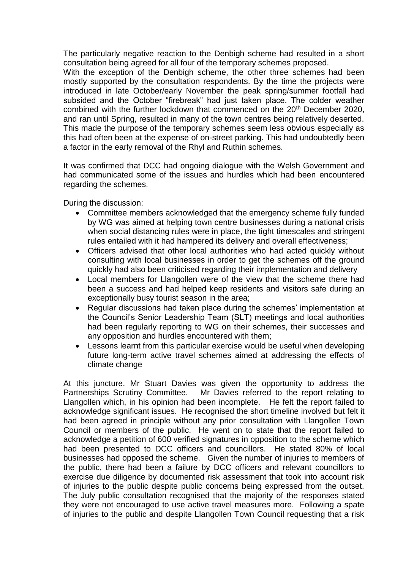The particularly negative reaction to the Denbigh scheme had resulted in a short consultation being agreed for all four of the temporary schemes proposed.

With the exception of the Denbigh scheme, the other three schemes had been mostly supported by the consultation respondents. By the time the projects were introduced in late October/early November the peak spring/summer footfall had subsided and the October "firebreak" had just taken place. The colder weather combined with the further lockdown that commenced on the 20<sup>th</sup> December 2020, and ran until Spring, resulted in many of the town centres being relatively deserted. This made the purpose of the temporary schemes seem less obvious especially as this had often been at the expense of on-street parking. This had undoubtedly been a factor in the early removal of the Rhyl and Ruthin schemes.

It was confirmed that DCC had ongoing dialogue with the Welsh Government and had communicated some of the issues and hurdles which had been encountered regarding the schemes.

During the discussion:

- Committee members acknowledged that the emergency scheme fully funded by WG was aimed at helping town centre businesses during a national crisis when social distancing rules were in place, the tight timescales and stringent rules entailed with it had hampered its delivery and overall effectiveness;
- Officers advised that other local authorities who had acted quickly without consulting with local businesses in order to get the schemes off the ground quickly had also been criticised regarding their implementation and delivery
- Local members for Llangollen were of the view that the scheme there had been a success and had helped keep residents and visitors safe during an exceptionally busy tourist season in the area;
- Regular discussions had taken place during the schemes' implementation at the Council's Senior Leadership Team (SLT) meetings and local authorities had been regularly reporting to WG on their schemes, their successes and any opposition and hurdles encountered with them;
- Lessons learnt from this particular exercise would be useful when developing future long-term active travel schemes aimed at addressing the effects of climate change

At this juncture, Mr Stuart Davies was given the opportunity to address the Partnerships Scrutiny Committee. Mr Davies referred to the report relating to Llangollen which, in his opinion had been incomplete. He felt the report failed to acknowledge significant issues. He recognised the short timeline involved but felt it had been agreed in principle without any prior consultation with Llangollen Town Council or members of the public. He went on to state that the report failed to acknowledge a petition of 600 verified signatures in opposition to the scheme which had been presented to DCC officers and councillors. He stated 80% of local businesses had opposed the scheme. Given the number of injuries to members of the public, there had been a failure by DCC officers and relevant councillors to exercise due diligence by documented risk assessment that took into account risk of injuries to the public despite public concerns being expressed from the outset. The July public consultation recognised that the majority of the responses stated they were not encouraged to use active travel measures more. Following a spate of injuries to the public and despite Llangollen Town Council requesting that a risk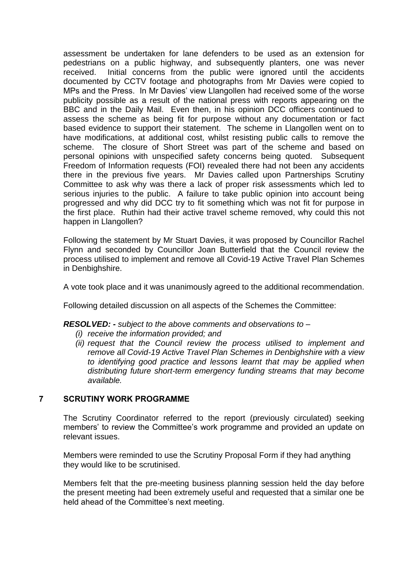assessment be undertaken for lane defenders to be used as an extension for pedestrians on a public highway, and subsequently planters, one was never received. Initial concerns from the public were ignored until the accidents documented by CCTV footage and photographs from Mr Davies were copied to MPs and the Press. In Mr Davies' view Llangollen had received some of the worse publicity possible as a result of the national press with reports appearing on the BBC and in the Daily Mail. Even then, in his opinion DCC officers continued to assess the scheme as being fit for purpose without any documentation or fact based evidence to support their statement. The scheme in Llangollen went on to have modifications, at additional cost, whilst resisting public calls to remove the scheme. The closure of Short Street was part of the scheme and based on personal opinions with unspecified safety concerns being quoted. Subsequent Freedom of Information requests (FOI) revealed there had not been any accidents there in the previous five years. Mr Davies called upon Partnerships Scrutiny Committee to ask why was there a lack of proper risk assessments which led to serious injuries to the public. A failure to take public opinion into account being progressed and why did DCC try to fit something which was not fit for purpose in the first place. Ruthin had their active travel scheme removed, why could this not happen in Llangollen?

Following the statement by Mr Stuart Davies, it was proposed by Councillor Rachel Flynn and seconded by Councillor Joan Butterfield that the Council review the process utilised to implement and remove all Covid-19 Active Travel Plan Schemes in Denbighshire.

A vote took place and it was unanimously agreed to the additional recommendation.

Following detailed discussion on all aspects of the Schemes the Committee:

#### *RESOLVED: - subject to the above comments and observations to –*

- *(i) receive the information provided; and*
- *(ii) request that the Council review the process utilised to implement and remove all Covid-19 Active Travel Plan Schemes in Denbighshire with a view to identifying good practice and lessons learnt that may be applied when distributing future short-term emergency funding streams that may become available.*

### **7 SCRUTINY WORK PROGRAMME**

The Scrutiny Coordinator referred to the report (previously circulated) seeking members' to review the Committee's work programme and provided an update on relevant issues.

Members were reminded to use the Scrutiny Proposal Form if they had anything they would like to be scrutinised.

Members felt that the pre-meeting business planning session held the day before the present meeting had been extremely useful and requested that a similar one be held ahead of the Committee's next meeting.